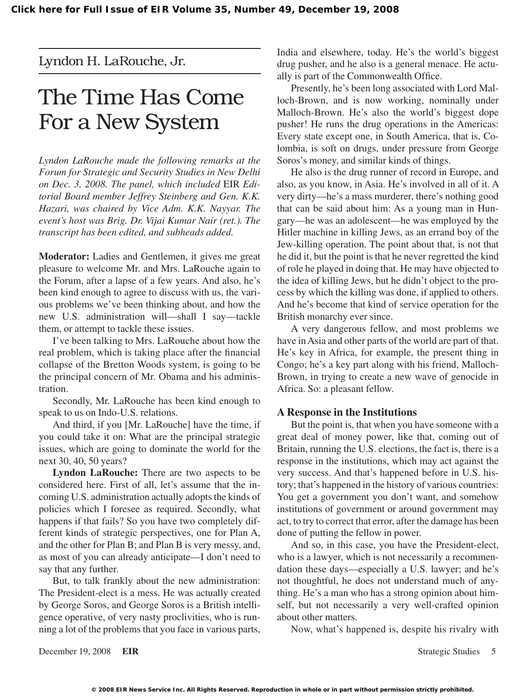Lyndon H. LaRouche, Jr.

# The Time Has Come For a New System

*Lyndon LaRouche made the following remarks at the Forum for Strategic and Security Studies in New Delhi on Dec. 3, 2008. The panel, which included* EIR *Editorial Board member Jeffrey Steinberg and Gen. K.K. Hazari, was chaired by Vice Adm. K.K. Nayyar. The event's host was Brig. Dr. Vijai Kumar Nair (ret.). The transcript has been edited, and subheads added.*

**Moderator:** Ladies and Gentlemen, it gives me great pleasure to welcome Mr. and Mrs. LaRouche again to the Forum, after a lapse of a few years. And also, he's been kind enough to agree to discuss with us, the various problems we've been thinking about, and how the new U.S. administration will—shall I say—tackle them, or attempt to tackle these issues.

I've been talking to Mrs. LaRouche about how the real problem, which is taking place after the financial collapse of the Bretton Woods system, is going to be the principal concern of Mr. Obama and his administration.

Secondly, Mr. LaRouche has been kind enough to speak to us on Indo-U.S. relations.

And third, if you [Mr. LaRouche] have the time, if you could take it on: What are the principal strategic issues, which are going to dominate the world for the next 30, 40, 50 years?

**Lyndon LaRouche:** There are two aspects to be considered here. First of all, let's assume that the incoming U.S. administration actually adopts the kinds of policies which I foresee as required. Secondly, what happens if that fails? So you have two completely different kinds of strategic perspectives, one for Plan A, and the other for Plan B; and Plan B is very messy, and, as most of you can already anticipate—I don't need to say that any further.

But, to talk frankly about the new administration: The President-elect is a mess. He was actually created by George Soros, and George Soros is a British intelligence operative, of very nasty proclivities, who is running a lot of the problems that you face in various parts, India and elsewhere, today. He's the world's biggest drug pusher, and he also is a general menace. He actually is part of the Commonwealth Office.

Presently, he's been long associated with Lord Malloch-Brown, and is now working, nominally under Malloch-Brown. He's also the world's biggest dope pusher! He runs the drug operations in the Americas: Every state except one, in South America, that is, Colombia, is soft on drugs, under pressure from George Soros's money, and similar kinds of things.

He also is the drug runner of record in Europe, and also, as you know, in Asia. He's involved in all of it. A very dirty—he's a mass murderer, there's nothing good that can be said about him: As a young man in Hungary—he was an adolescent—he was employed by the Hitler machine in killing Jews, as an errand boy of the Jew-killing operation. The point about that, is not that he did it, but the point is that he never regretted the kind of role he played in doing that. He may have objected to the idea of killing Jews, but he didn't object to the process by which the killing was done, if applied to others. And he's become that kind of service operation for the British monarchy ever since.

A very dangerous fellow, and most problems we have in Asia and other parts of the world are part of that. He's key in Africa, for example, the present thing in Congo; he's a key part along with his friend, Malloch-Brown, in trying to create a new wave of genocide in Africa. So: a pleasant fellow.

### **A Response in the Institutions**

But the point is, that when you have someone with a great deal of money power, like that, coming out of Britain, running the U.S. elections, the fact is, there is a response in the institutions, which may act against the very success. And that's happened before in U.S. history; that's happened in the history of various countries: You get a government you don't want, and somehow institutions of government or around government may act, to try to correct that error, after the damage has been done of putting the fellow in power.

And so, in this case, you have the President-elect, who is a lawyer, which is not necessarily a recommendation these days—especially a U.S. lawyer; and he's not thoughtful, he does not understand much of anything. He's a man who has a strong opinion about himself, but not necessarily a very well-crafted opinion about other matters.

Now, what's happened is, despite his rivalry with

December 19, 2008 **EIR** Strategic Studies 5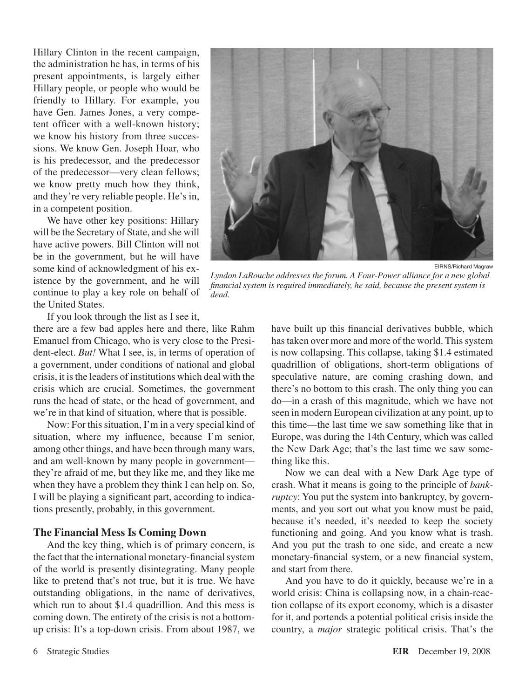Hillary Clinton in the recent campaign, the administration he has, in terms of his present appointments, is largely either Hillary people, or people who would be friendly to Hillary. For example, you have Gen. James Jones, a very competent officer with a well-known history; we know his history from three successions. We know Gen. Joseph Hoar, who is his predecessor, and the predecessor of the predecessor—very clean fellows; we know pretty much how they think, and they're very reliable people. He's in, in a competent position.

We have other key positions: Hillary will be the Secretary of State, and she will have active powers. Bill Clinton will not be in the government, but he will have some kind of acknowledgment of his existence by the government, and he will continue to play a key role on behalf of the United States.

If you look through the list as I see it,

there are a few bad apples here and there, like Rahm Emanuel from Chicago, who is very close to the President-elect. *But!* What I see, is, in terms of operation of a government, under conditions of national and global crisis, it isthe leaders of institutions which deal with the crisis which are crucial. Sometimes, the government runs the head of state, or the head of government, and we're in that kind of situation, where that is possible.

Now: For this situation, I'm in a very special kind of situation, where my influence, because I'm senior, among other things, and have been through many wars, and am well-known by many people in government they're afraid of me, but they like me, and they like me when they have a problem they think I can help on. So, I will be playing a significant part, according to indications presently, probably, in this government.

### **The Financial Mess Is Coming Down**

And the key thing, which is of primary concern, is the fact that the international monetary-financial system of the world is presently disintegrating. Many people like to pretend that's not true, but it is true. We have outstanding obligations, in the name of derivatives, which run to about \$1.4 quadrillion. And this mess is coming down. The entirety of the crisis is not a bottomup crisis: It's a top-down crisis. From about 1987, we



*Lyndon LaRouche addresses the forum. A Four-Power alliance for a new global financial system is required immediately, he said, because the present system is dead.*

have built up this financial derivatives bubble, which has taken over more and more of the world. This system is now collapsing. This collapse, taking \$1.4 estimated quadrillion of obligations, short-term obligations of speculative nature, are coming crashing down, and there's no bottom to this crash. The only thing you can do—in a crash of this magnitude, which we have not seen in modern European civilization at any point, up to this time—the last time we saw something like that in Europe, was during the 14th Century, which was called the New Dark Age; that's the last time we saw something like this.

Now we can deal with a New Dark Age type of crash. What it means is going to the principle of *bankruptcy*: You put the system into bankruptcy, by governments, and you sort out what you know must be paid, because it's needed, it's needed to keep the society functioning and going. And you know what is trash. And you put the trash to one side, and create a new monetary-financial system, or a new financial system, and start from there.

And you have to do it quickly, because we're in a world crisis: China is collapsing now, in a chain-reaction collapse of its export economy, which is a disaster for it, and portends a potential political crisis inside the country, a *major* strategic political crisis. That's the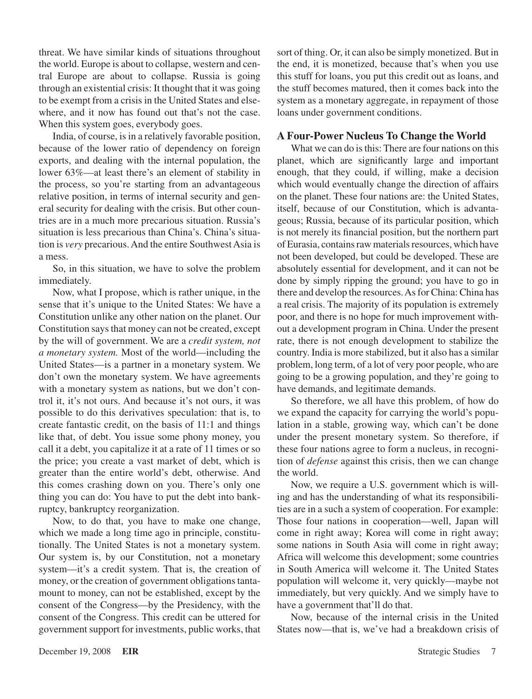threat. We have similar kinds of situations throughout the world. Europe is about to collapse, western and central Europe are about to collapse. Russia is going through an existential crisis: It thought that it was going to be exempt from a crisis in the United States and elsewhere, and it now has found out that's not the case. When this system goes, everybody goes.

India, of course, is in a relatively favorable position, because of the lower ratio of dependency on foreign exports, and dealing with the internal population, the lower 63%—at least there's an element of stability in the process, so you're starting from an advantageous relative position, in terms of internal security and general security for dealing with the crisis. But other countries are in a much more precarious situation. Russia's situation is less precarious than China's. China's situation is *very* precarious.And the entire SouthwestAsia is a mess.

So, in this situation, we have to solve the problem immediately.

Now, what I propose, which is rather unique, in the sense that it's unique to the United States: We have a Constitution unlike any other nation on the planet. Our Constitution saysthat money can not be created, except by the will of government. We are a *credit system, not a monetary system.* Most of the world—including the United States—is a partner in a monetary system. We don't own the monetary system. We have agreements with a monetary system as nations, but we don't control it, it's not ours. And because it's not ours, it was possible to do this derivatives speculation: that is, to create fantastic credit, on the basis of 11:1 and things like that, of debt. You issue some phony money, you call it a debt, you capitalize it at a rate of 11 times or so the price; you create a vast market of debt, which is greater than the entire world's debt, otherwise. And this comes crashing down on you. There's only one thing you can do: You have to put the debt into bankruptcy, bankruptcy reorganization.

Now, to do that, you have to make one change, which we made a long time ago in principle, constitutionally. The United States is not a monetary system. Our system is, by our Constitution, not a monetary system—it's a credit system. That is, the creation of money, or the creation of government obligations tantamount to money, can not be established, except by the consent of the Congress—by the Presidency, with the consent of the Congress. This credit can be uttered for government support for investments, public works, that sort of thing. Or, it can also be simply monetized. But in the end, it is monetized, because that's when you use this stuff for loans, you put this credit out as loans, and the stuff becomes matured, then it comes back into the system as a monetary aggregate, in repayment of those loans under government conditions.

### **A Four-Power Nucleus To Change the World**

What we can do is this: There are four nations on this planet, which are significantly large and important enough, that they could, if willing, make a decision which would eventually change the direction of affairs on the planet. These four nations are: the United States, itself, because of our Constitution, which is advantageous; Russia, because of its particular position, which is not merely its financial position, but the northern part of Eurasia, containsrawmaterialsresources, which have not been developed, but could be developed. These are absolutely essential for development, and it can not be done by simply ripping the ground; you have to go in there and develop the resources. As for China: China has a real crisis. The majority of its population is extremely poor, and there is no hope for much improvement without a development program in China. Under the present rate, there is not enough development to stabilize the country. India is more stabilized, but it also has a similar problem, long term, of a lot of very poor people, who are going to be a growing population, and they're going to have demands, and legitimate demands.

So therefore, we all have this problem, of how do we expand the capacity for carrying the world's population in a stable, growing way, which can't be done under the present monetary system. So therefore, if these four nations agree to form a nucleus, in recognition of *defense* against this crisis, then we can change the world.

Now, we require a U.S. government which is willing and has the understanding of what its responsibilities are in a such a system of cooperation. For example: Those four nations in cooperation—well, Japan will come in right away; Korea will come in right away; some nations in South Asia will come in right away; Africa will welcome this development; some countries in South America will welcome it. The United States population will welcome it, very quickly—maybe not immediately, but very quickly. And we simply have to have a government that'll do that.

Now, because of the internal crisis in the United States now—that is, we've had a breakdown crisis of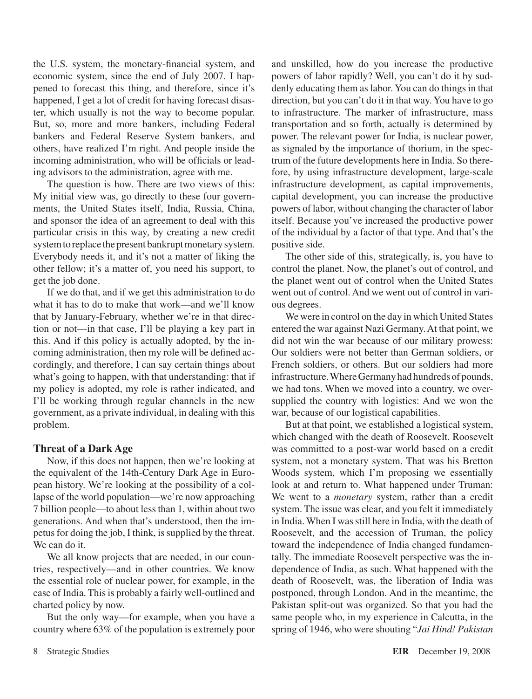the U.S. system, the monetary-financial system, and economic system, since the end of July 2007. I happened to forecast this thing, and therefore, since it's happened, I get a lot of credit for having forecast disaster, which usually is not the way to become popular. But, so, more and more bankers, including Federal bankers and Federal Reserve System bankers, and others, have realized I'm right. And people inside the incoming administration, who will be officials or leading advisors to the administration, agree with me.

The question is how. There are two views of this: My initial view was, go directly to these four governments, the United States itself, India, Russia, China, and sponsor the idea of an agreement to deal with this particular crisis in this way, by creating a new credit system to replace the present bankrupt monetary system. Everybody needs it, and it's not a matter of liking the other fellow; it's a matter of, you need his support, to get the job done.

If we do that, and if we get this administration to do what it has to do to make that work—and we'll know that by January-February, whether we're in that direction or not—in that case, I'll be playing a key part in this. And if this policy is actually adopted, by the incoming administration, then my role will be defined accordingly, and therefore, I can say certain things about what's going to happen, with that understanding: that if my policy is adopted, my role is rather indicated, and I'll be working through regular channels in the new government, as a private individual, in dealing with this problem.

### **Threat of a Dark Age**

Now, if this does not happen, then we're looking at the equivalent of the 14th-Century Dark Age in European history. We're looking at the possibility of a collapse of the world population—we're now approaching 7 billion people—to about less than 1, within about two generations. And when that's understood, then the impetus for doing the job, I think, is supplied by the threat. We can do it.

We all know projects that are needed, in our countries, respectively—and in other countries. We know the essential role of nuclear power, for example, in the case of India. This is probably a fairly well-outlined and charted policy by now.

But the only way—for example, when you have a country where 63% of the population is extremely poor

and unskilled, how do you increase the productive powers of labor rapidly? Well, you can't do it by suddenly educating them as labor. You can do things in that direction, but you can't do it in that way. You have to go to infrastructure. The marker of infrastructure, mass transportation and so forth, actually is determined by power. The relevant power for India, is nuclear power, as signaled by the importance of thorium, in the spectrum of the future developments here in India. So therefore, by using infrastructure development, large-scale infrastructure development, as capital improvements, capital development, you can increase the productive powers of labor, without changing the character of labor itself. Because you've increased the productive power of the individual by a factor of that type. And that's the positive side.

The other side of this, strategically, is, you have to control the planet. Now, the planet's out of control, and the planet went out of control when the United States went out of control. And we went out of control in various degrees.

We were in control on the day in which United States entered the war against Nazi Germany.At that point, we did not win the war because of our military prowess: Our soldiers were not better than German soldiers, or French soldiers, or others. But our soldiers had more infrastructure. Where Germany had hundreds of pounds, we had tons. When we moved into a country, we oversupplied the country with logistics: And we won the war, because of our logistical capabilities.

But at that point, we established a logistical system, which changed with the death of Roosevelt. Roosevelt was committed to a post-war world based on a credit system, not a monetary system. That was his Bretton Woods system, which I'm proposing we essentially look at and return to. What happened under Truman: We went to a *monetary* system, rather than a credit system. The issue was clear, and you felt it immediately in India. When I was still here in India, with the death of Roosevelt, and the accession of Truman, the policy toward the independence of India changed fundamentally. The immediate Roosevelt perspective was the independence of India, as such. What happened with the death of Roosevelt, was, the liberation of India was postponed, through London. And in the meantime, the Pakistan split-out was organized. So that you had the same people who, in my experience in Calcutta, in the spring of 1946, who were shouting "*Jai Hind! Pakistan*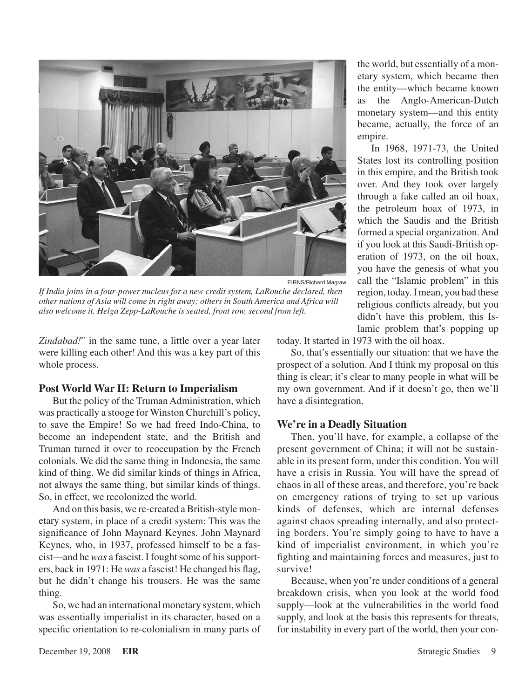

EIRNS/Richard Magraw

*If India joins in a four-power nucleus for a new credit system, LaRouche declared, then other nations of Asia will come in right away; others in South America and Africa will also welcome it. Helga Zepp-LaRouche is seated, front row, second from left.*

*Zindabad!*" in the same tune, a little over a year later were killing each other! And this was a key part of this whole process.

### **Post World War II: Return to Imperialism**

But the policy of the Truman Administration, which was practically a stooge for Winston Churchill's policy, to save the Empire! So we had freed Indo-China, to become an independent state, and the British and Truman turned it over to reoccupation by the French colonials. We did the same thing in Indonesia, the same kind of thing. We did similar kinds of things in Africa, not always the same thing, but similar kinds of things. So, in effect, we recolonized the world.

And on this basis, we re-created a British-style monetary system, in place of a credit system: This was the significance of John Maynard Keynes. John Maynard Keynes, who, in 1937, professed himself to be a fascist—and he *was* a fascist. I fought some of his supporters, back in 1971: He *was* a fascist! He changed his flag, but he didn't change his trousers. He was the same thing.

So, we had an international monetary system, which was essentially imperialist in its character, based on a specific orientation to re-colonialism in many parts of the world, but essentially of a monetary system, which became then the entity—which became known as the Anglo-American-Dutch monetary system—and this entity became, actually, the force of an empire.

In 1968, 1971-73, the United States lost its controlling position in this empire, and the British took over. And they took over largely through a fake called an oil hoax, the petroleum hoax of 1973, in which the Saudis and the British formed a special organization. And if you look at this Saudi-British operation of 1973, on the oil hoax, you have the genesis of what you call the "Islamic problem" in this region, today.I mean, you had these religious conflicts already, but you didn't have this problem, this Islamic problem that's popping up

today. It started in 1973 with the oil hoax.

So, that's essentially our situation: that we have the prospect of a solution. And I think my proposal on this thing is clear; it's clear to many people in what will be my own government. And if it doesn't go, then we'll have a disintegration.

### **We're in a Deadly Situation**

Then, you'll have, for example, a collapse of the present government of China; it will not be sustainable in its present form, under this condition. You will have a crisis in Russia. You will have the spread of chaos in all of these areas, and therefore, you're back on emergency rations of trying to set up various kinds of defenses, which are internal defenses against chaos spreading internally, and also protecting borders. You're simply going to have to have a kind of imperialist environment, in which you're fighting and maintaining forces and measures, just to survive!

Because, when you're under conditions of a general breakdown crisis, when you look at the world food supply—look at the vulnerabilities in the world food supply, and look at the basis this represents for threats, for instability in every part of the world, then your con